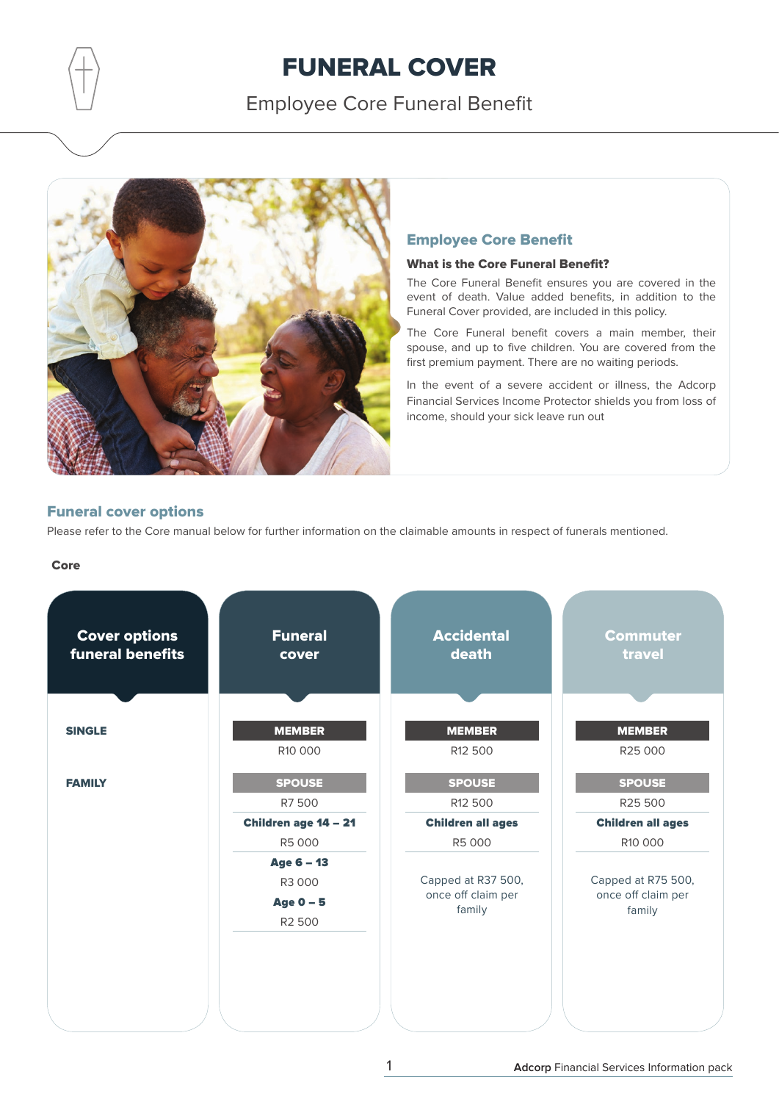Employee Core Funeral Benefit



### Employee Core Benefit

### What is the Core Funeral Benefit?

The Core Funeral Benefit ensures you are covered in the event of death. Value added benefits, in addition to the Funeral Cover provided, are included in this policy.

The Core Funeral benefit covers a main member, their spouse, and up to five children. You are covered from the first premium payment. There are no waiting periods.

In the event of a severe accident or illness, the Adcorp Financial Services Income Protector shields you from loss of income, should your sick leave run out

### Funeral cover options

Please refer to the Core manual below for further information on the claimable amounts in respect of funerals mentioned.

### Core

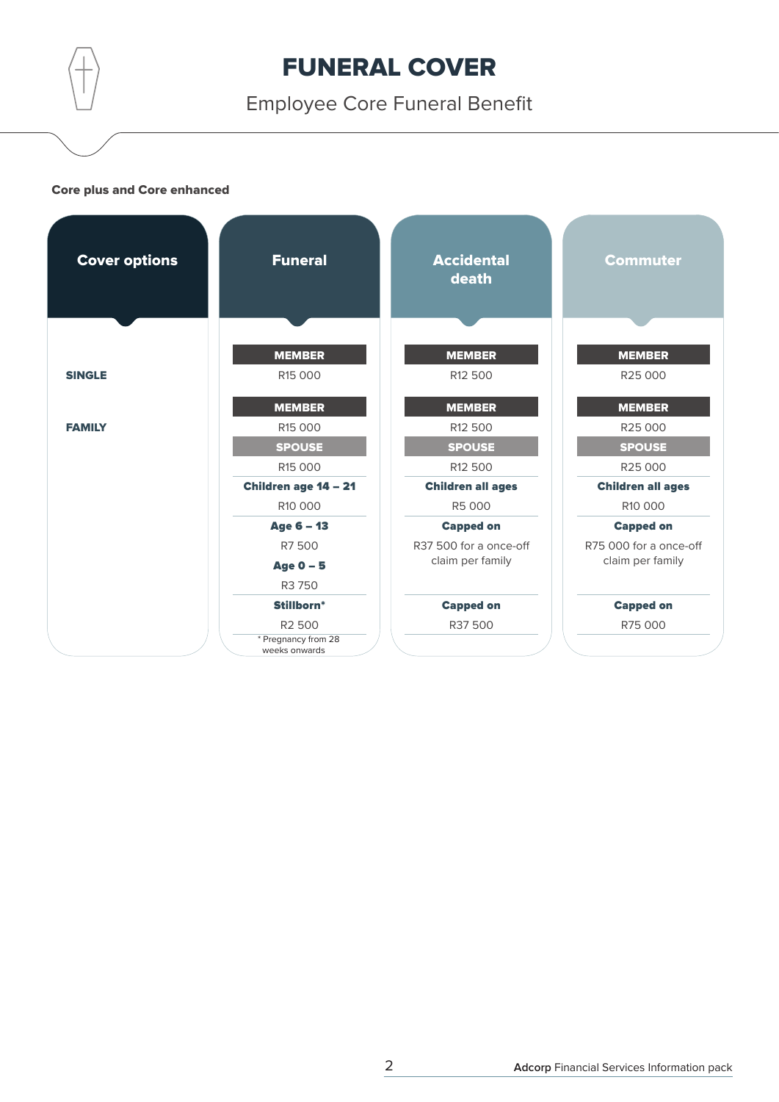Employee Core Funeral Benefit

### Core plus and Core enhanced

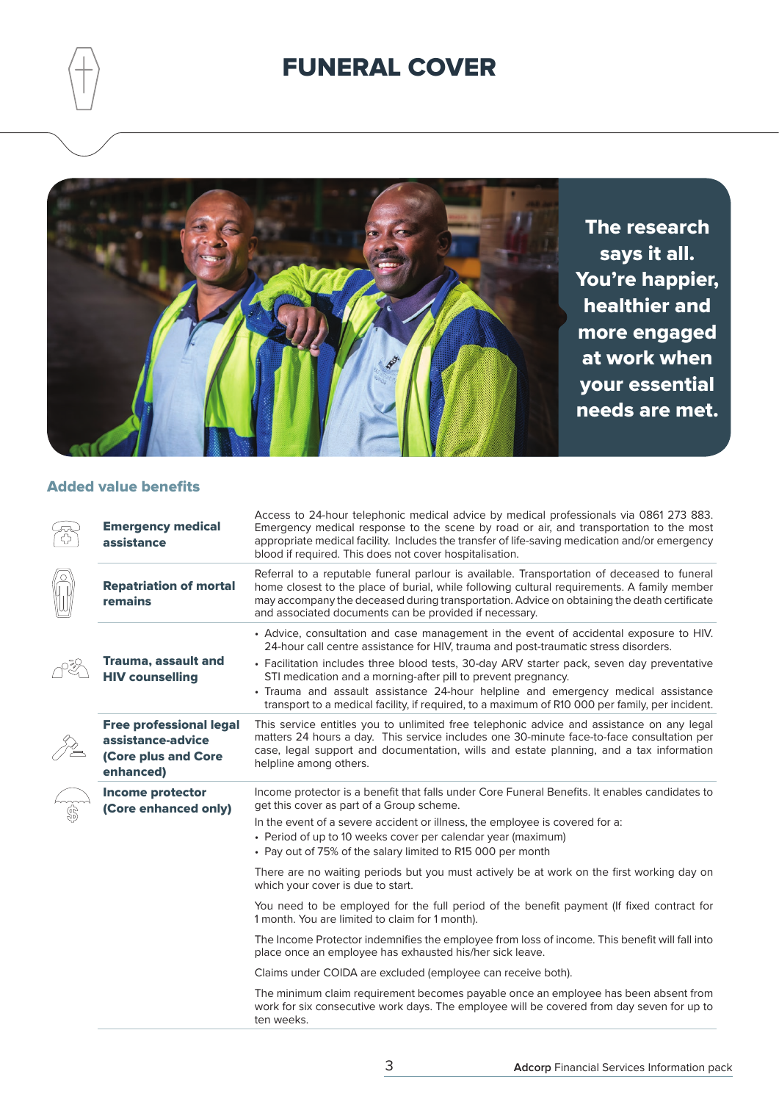

The research says it all. You're happier, healthier and more engaged at work when your essential needs are met.

### Added value benefits

| <b>Emergency medical</b><br>assistance                                                  | Access to 24-hour telephonic medical advice by medical professionals via 0861 273 883.<br>Emergency medical response to the scene by road or air, and transportation to the most<br>appropriate medical facility. Includes the transfer of life-saving medication and/or emergency<br>blood if required. This does not cover hospitalisation.                                                                                                                                                                                        |
|-----------------------------------------------------------------------------------------|--------------------------------------------------------------------------------------------------------------------------------------------------------------------------------------------------------------------------------------------------------------------------------------------------------------------------------------------------------------------------------------------------------------------------------------------------------------------------------------------------------------------------------------|
| <b>Repatriation of mortal</b><br>remains                                                | Referral to a reputable funeral parlour is available. Transportation of deceased to funeral<br>home closest to the place of burial, while following cultural requirements. A family member<br>may accompany the deceased during transportation. Advice on obtaining the death certificate<br>and associated documents can be provided if necessary.                                                                                                                                                                                  |
| Trauma, assault and<br><b>HIV counselling</b>                                           | • Advice, consultation and case management in the event of accidental exposure to HIV.<br>24-hour call centre assistance for HIV, trauma and post-traumatic stress disorders.<br>• Facilitation includes three blood tests, 30-day ARV starter pack, seven day preventative<br>STI medication and a morning-after pill to prevent pregnancy.<br>• Trauma and assault assistance 24-hour helpline and emergency medical assistance<br>transport to a medical facility, if required, to a maximum of R10 000 per family, per incident. |
| <b>Free professional legal</b><br>assistance-advice<br>(Core plus and Core<br>enhanced) | This service entitles you to unlimited free telephonic advice and assistance on any legal<br>matters 24 hours a day. This service includes one 30-minute face-to-face consultation per<br>case, legal support and documentation, wills and estate planning, and a tax information<br>helpline among others.                                                                                                                                                                                                                          |
| <b>Income protector</b><br>(Core enhanced only)                                         | Income protector is a benefit that falls under Core Funeral Benefits. It enables candidates to<br>get this cover as part of a Group scheme.<br>In the event of a severe accident or illness, the employee is covered for a:<br>• Period of up to 10 weeks cover per calendar year (maximum)<br>• Pay out of 75% of the salary limited to R15 000 per month                                                                                                                                                                           |
|                                                                                         | There are no waiting periods but you must actively be at work on the first working day on<br>which your cover is due to start.                                                                                                                                                                                                                                                                                                                                                                                                       |
|                                                                                         | You need to be employed for the full period of the benefit payment (If fixed contract for<br>1 month. You are limited to claim for 1 month).                                                                                                                                                                                                                                                                                                                                                                                         |
|                                                                                         | The Income Protector indemnifies the employee from loss of income. This benefit will fall into<br>place once an employee has exhausted his/her sick leave.                                                                                                                                                                                                                                                                                                                                                                           |
|                                                                                         | Claims under COIDA are excluded (employee can receive both).                                                                                                                                                                                                                                                                                                                                                                                                                                                                         |
|                                                                                         | The minimum claim requirement becomes payable once an employee has been absent from<br>work for six consecutive work days. The employee will be covered from day seven for up to<br>ten weeks.                                                                                                                                                                                                                                                                                                                                       |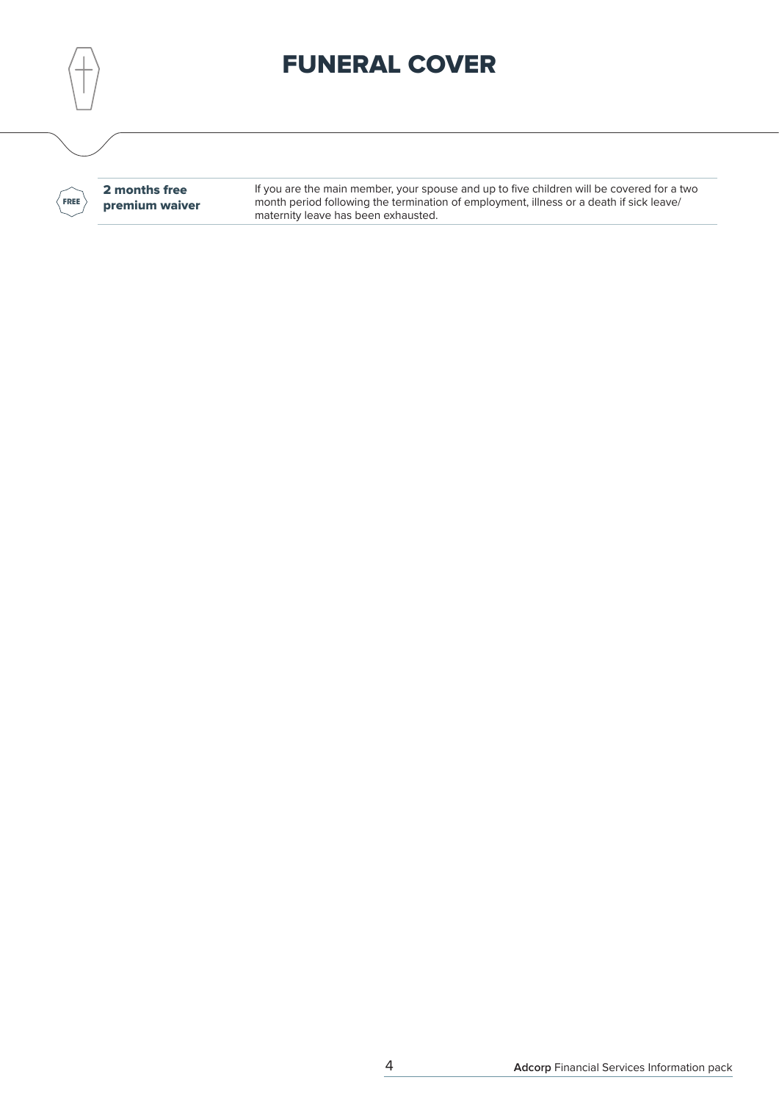**FREE**

2 months free premium waiver If you are the main member, your spouse and up to five children will be covered for a two month period following the termination of employment, illness or a death if sick leave/ maternity leave has been exhausted.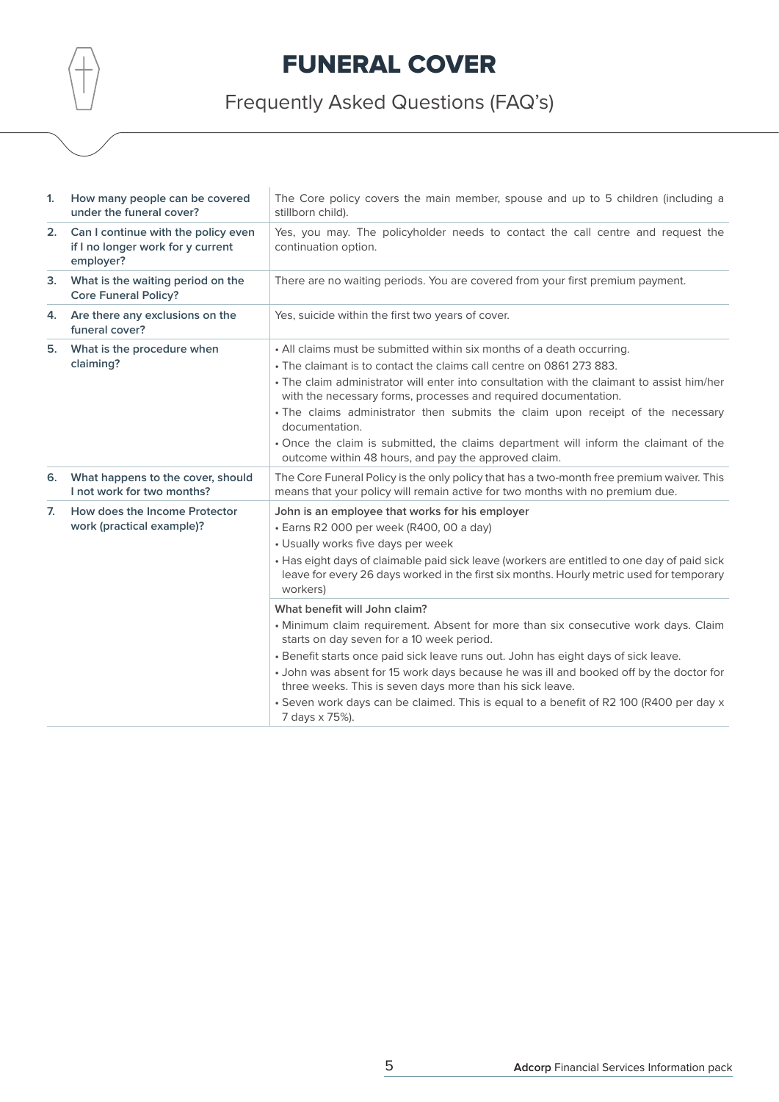Frequently Asked Questions (FAQ's)

| 1. | How many people can be covered<br>under the funeral cover?                            | The Core policy covers the main member, spouse and up to 5 children (including a<br>stillborn child).                                                                                                                                                                                                                                                                                                                                                                                                                                                                                                                                                                                                                                                                                                                                               |
|----|---------------------------------------------------------------------------------------|-----------------------------------------------------------------------------------------------------------------------------------------------------------------------------------------------------------------------------------------------------------------------------------------------------------------------------------------------------------------------------------------------------------------------------------------------------------------------------------------------------------------------------------------------------------------------------------------------------------------------------------------------------------------------------------------------------------------------------------------------------------------------------------------------------------------------------------------------------|
| 2. | Can I continue with the policy even<br>if I no longer work for y current<br>employer? | Yes, you may. The policyholder needs to contact the call centre and request the<br>continuation option.                                                                                                                                                                                                                                                                                                                                                                                                                                                                                                                                                                                                                                                                                                                                             |
| 3. | What is the waiting period on the<br><b>Core Funeral Policy?</b>                      | There are no waiting periods. You are covered from your first premium payment.                                                                                                                                                                                                                                                                                                                                                                                                                                                                                                                                                                                                                                                                                                                                                                      |
| 4. | Are there any exclusions on the<br>funeral cover?                                     | Yes, suicide within the first two years of cover.                                                                                                                                                                                                                                                                                                                                                                                                                                                                                                                                                                                                                                                                                                                                                                                                   |
| 5. | What is the procedure when<br>claiming?                                               | • All claims must be submitted within six months of a death occurring.<br>• The claimant is to contact the claims call centre on 0861 273 883.<br>• The claim administrator will enter into consultation with the claimant to assist him/her<br>with the necessary forms, processes and required documentation.<br>. The claims administrator then submits the claim upon receipt of the necessary<br>documentation.<br>• Once the claim is submitted, the claims department will inform the claimant of the<br>outcome within 48 hours, and pay the approved claim.                                                                                                                                                                                                                                                                                |
| 6. | What happens to the cover, should<br>I not work for two months?                       | The Core Funeral Policy is the only policy that has a two-month free premium waiver. This<br>means that your policy will remain active for two months with no premium due.                                                                                                                                                                                                                                                                                                                                                                                                                                                                                                                                                                                                                                                                          |
| 7. | How does the Income Protector<br>work (practical example)?                            | John is an employee that works for his employer<br>· Earns R2 000 per week (R400, 00 a day)<br>• Usually works five days per week<br>• Has eight days of claimable paid sick leave (workers are entitled to one day of paid sick<br>leave for every 26 days worked in the first six months. Hourly metric used for temporary<br>workers)<br>What benefit will John claim?<br>. Minimum claim requirement. Absent for more than six consecutive work days. Claim<br>starts on day seven for a 10 week period.<br>. Benefit starts once paid sick leave runs out. John has eight days of sick leave.<br>• John was absent for 15 work days because he was ill and booked off by the doctor for<br>three weeks. This is seven days more than his sick leave.<br>. Seven work days can be claimed. This is equal to a benefit of R2 100 (R400 per day x |
|    |                                                                                       | 7 days x 75%).                                                                                                                                                                                                                                                                                                                                                                                                                                                                                                                                                                                                                                                                                                                                                                                                                                      |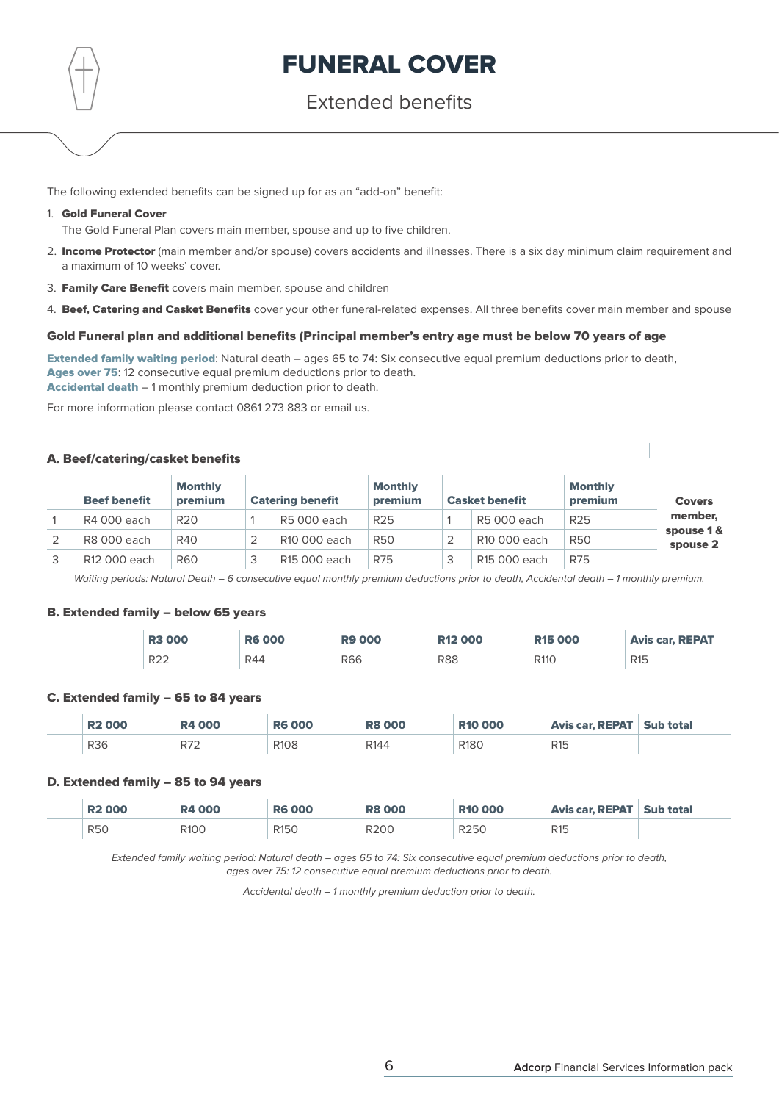### Extended benefits

The following extended benefits can be signed up for as an "add-on" benefit:

### 1. Gold Funeral Cover

The Gold Funeral Plan covers main member, spouse and up to five children.

- 2. Income Protector (main member and/or spouse) covers accidents and illnesses. There is a six day minimum claim requirement and a maximum of 10 weeks' cover.
- 3. Family Care Benefit covers main member, spouse and children
- 4. Beef, Catering and Casket Benefits cover your other funeral-related expenses. All three benefits cover main member and spouse

### Gold Funeral plan and additional benefits (Principal member's entry age must be below 70 years of age

Extended family waiting period: Natural death – ages 65 to 74: Six consecutive equal premium deductions prior to death, Ages over 75: 12 consecutive equal premium deductions prior to death. Accidental death – 1 monthly premium deduction prior to death.

For more information please contact 0861 273 883 or email us.

### A. Beef/catering/casket benefits

| <b>Beef benefit</b>      | <b>Monthly</b><br>premium | <b>Catering benefit</b> | <b>Monthly</b><br>premium |   | <b>Casket benefit</b> | <b>Monthly</b><br>premium | <b>Covers</b>          |
|--------------------------|---------------------------|-------------------------|---------------------------|---|-----------------------|---------------------------|------------------------|
| R4 000 each              | R <sub>20</sub>           | R5 000 each             | R <sub>25</sub>           |   | R5 000 each           | R <sub>25</sub>           | member,                |
| R8 000 each              | R40                       | R10 000 each            | <b>R50</b>                |   | R10 000 each          | <b>R50</b>                | spouse 1 &<br>spouse 2 |
| R <sub>12</sub> 000 each | <b>R60</b>                | R15 000 each            | <b>R75</b>                | د | R15 000 each          | <b>R75</b>                |                        |

Waiting periods: Natural Death - 6 consecutive equal monthly premium deductions prior to death, Accidental death - 1 monthly premium.

#### B. Extended family – below 65 years

| <b>R3000</b>    | <b>R6000</b> | 000        | <b>R12 000</b> | <b>R15 000</b>            | <b>Avis car. REPAT</b> |
|-----------------|--------------|------------|----------------|---------------------------|------------------------|
| R <sub>22</sub> | R44          | <b>R66</b> | <b>R88</b>     | R <sub>110</sub><br>_____ | R <sub>15</sub>        |

### C. Extended family – 65 to 84 years

| <b>R2000</b> | <b>R4000</b> | <b>R6 000</b>    | <b>R8 000</b>    | <b>R10 000</b>   | Avis car. REPAT   Sub total |  |
|--------------|--------------|------------------|------------------|------------------|-----------------------------|--|
| <b>R36</b>   | R72          | R <sub>108</sub> | R <sub>144</sub> | R <sub>180</sub> | R <sub>15</sub>             |  |

### D. Extended family – 85 to 94 years

| <b>R2000</b> | <b>R4 000</b>    | <b>R6000</b>     | <b>R8 000</b>    | <b>R10 000</b>   | Avis car. REPAT   Sub total |  |
|--------------|------------------|------------------|------------------|------------------|-----------------------------|--|
| <b>R50</b>   | R <sub>100</sub> | R <sub>150</sub> | R <sub>200</sub> | R <sub>250</sub> | R <sub>15</sub>             |  |

Extended family waiting period: Natural death – ages 65 to 74: Six consecutive equal premium deductions prior to death, ages over 75: 12 consecutive equal premium deductions prior to death.

Accidental death – 1 monthly premium deduction prior to death.